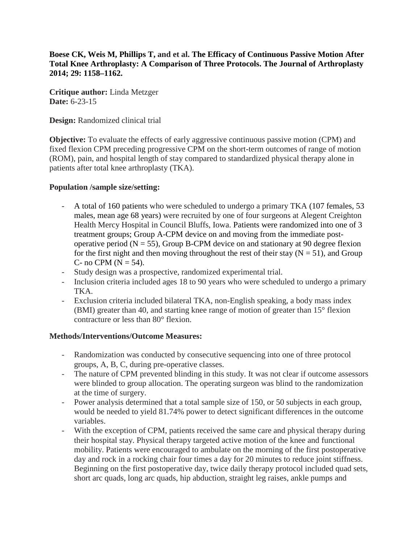**Boese CK, Weis M, Phillips T, and et al. The Efficacy of Continuous Passive Motion After Total Knee Arthroplasty: A Comparison of Three Protocols. The Journal of Arthroplasty 2014; 29: 1158–1162.**

**Critique author:** Linda Metzger **Date:** 6-23-15

**Design:** Randomized clinical trial

**Objective:** To evaluate the effects of early aggressive continuous passive motion (CPM) and fixed flexion CPM preceding progressive CPM on the short-term outcomes of range of motion (ROM), pain, and hospital length of stay compared to standardized physical therapy alone in patients after total knee arthroplasty (TKA).

#### **Population /sample size/setting:**

- A total of 160 patients who were scheduled to undergo a primary TKA (107 females, 53 males, mean age 68 years) were recruited by one of four surgeons at Alegent Creighton Health Mercy Hospital in Council Bluffs, Iowa. Patients were randomized into one of 3 treatment groups; Group A-CPM device on and moving from the immediate postoperative period ( $N = 55$ ), Group B-CPM device on and stationary at 90 degree flexion for the first night and then moving throughout the rest of their stay  $(N = 51)$ , and Group C- no CPM ( $N = 54$ ).
- Study design was a prospective, randomized experimental trial.
- Inclusion criteria included ages 18 to 90 years who were scheduled to undergo a primary TKA.
- Exclusion criteria included bilateral TKA, non-English speaking, a body mass index (BMI) greater than 40, and starting knee range of motion of greater than 15° flexion contracture or less than 80° flexion.

### **Methods/Interventions/Outcome Measures:**

- Randomization was conducted by consecutive sequencing into one of three protocol groups, A, B, C, during pre-operative classes.
- The nature of CPM prevented blinding in this study. It was not clear if outcome assessors were blinded to group allocation. The operating surgeon was blind to the randomization at the time of surgery.
- Power analysis determined that a total sample size of 150, or 50 subjects in each group, would be needed to yield 81.74% power to detect significant differences in the outcome variables.
- With the exception of CPM, patients received the same care and physical therapy during their hospital stay. Physical therapy targeted active motion of the knee and functional mobility. Patients were encouraged to ambulate on the morning of the first postoperative day and rock in a rocking chair four times a day for 20 minutes to reduce joint stiffness. Beginning on the first postoperative day, twice daily therapy protocol included quad sets, short arc quads, long arc quads, hip abduction, straight leg raises, ankle pumps and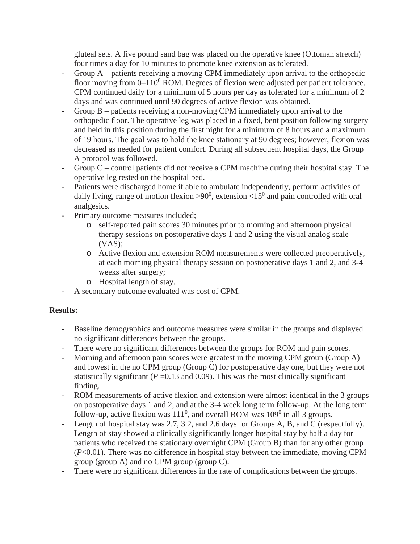gluteal sets. A five pound sand bag was placed on the operative knee (Ottoman stretch) four times a day for 10 minutes to promote knee extension as tolerated.

- Group A patients receiving a moving CPM immediately upon arrival to the orthopedic floor moving from  $0-110^0$  ROM. Degrees of flexion were adjusted per patient tolerance. CPM continued daily for a minimum of 5 hours per day as tolerated for a minimum of 2 days and was continued until 90 degrees of active flexion was obtained.
- Group  $B$  patients receiving a non-moving CPM immediately upon arrival to the orthopedic floor. The operative leg was placed in a fixed, bent position following surgery and held in this position during the first night for a minimum of 8 hours and a maximum of 19 hours. The goal was to hold the knee stationary at 90 degrees; however, flexion was decreased as needed for patient comfort. During all subsequent hospital days, the Group A protocol was followed.
- Group C control patients did not receive a CPM machine during their hospital stay. The operative leg rested on the hospital bed.
- Patients were discharged home if able to ambulate independently, perform activities of daily living, range of motion flexion  $> 90^0$ , extension  $< 15^0$  and pain controlled with oral analgesics.
- Primary outcome measures included;
	- o self-reported pain scores 30 minutes prior to morning and afternoon physical therapy sessions on postoperative days 1 and 2 using the visual analog scale  $(VAS)$ ;
	- o Active flexion and extension ROM measurements were collected preoperatively, at each morning physical therapy session on postoperative days 1 and 2, and 3-4 weeks after surgery;
	- o Hospital length of stay.
- A secondary outcome evaluated was cost of CPM.

### **Results:**

- Baseline demographics and outcome measures were similar in the groups and displayed no significant differences between the groups.
- There were no significant differences between the groups for ROM and pain scores.
- Morning and afternoon pain scores were greatest in the moving CPM group (Group A) and lowest in the no CPM group (Group C) for postoperative day one, but they were not statistically significant ( $P = 0.13$  and 0.09). This was the most clinically significant finding.
- ROM measurements of active flexion and extension were almost identical in the 3 groups on postoperative days 1 and 2, and at the 3-4 week long term follow-up. At the long term follow-up, active flexion was  $111^0$ , and overall ROM was  $109^0$  in all 3 groups.
- Length of hospital stay was 2.7, 3.2, and 2.6 days for Groups A, B, and C (respectfully). Length of stay showed a clinically significantly longer hospital stay by half a day for patients who received the stationary overnight CPM (Group B) than for any other group (*P*<0.01). There was no difference in hospital stay between the immediate, moving CPM group (group A) and no CPM group (group C).
- There were no significant differences in the rate of complications between the groups.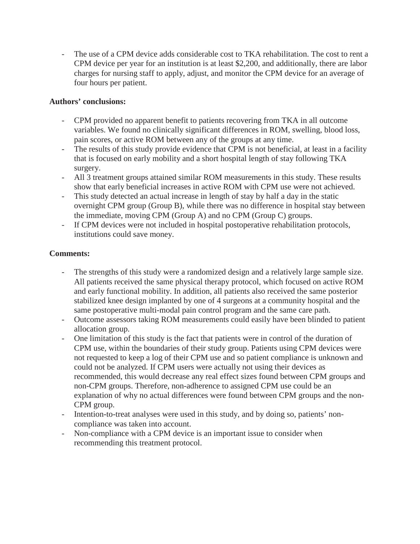- The use of a CPM device adds considerable cost to TKA rehabilitation. The cost to rent a CPM device per year for an institution is at least \$2,200, and additionally, there are labor charges for nursing staff to apply, adjust, and monitor the CPM device for an average of four hours per patient.

## **Authors' conclusions:**

- CPM provided no apparent benefit to patients recovering from TKA in all outcome variables. We found no clinically significant differences in ROM, swelling, blood loss, pain scores, or active ROM between any of the groups at any time.
- The results of this study provide evidence that CPM is not beneficial, at least in a facility that is focused on early mobility and a short hospital length of stay following TKA surgery.
- All 3 treatment groups attained similar ROM measurements in this study. These results show that early beneficial increases in active ROM with CPM use were not achieved.
- This study detected an actual increase in length of stay by half a day in the static overnight CPM group (Group B), while there was no difference in hospital stay between the immediate, moving CPM (Group A) and no CPM (Group C) groups.
- If CPM devices were not included in hospital postoperative rehabilitation protocols, institutions could save money.

# **Comments:**

- The strengths of this study were a randomized design and a relatively large sample size. All patients received the same physical therapy protocol, which focused on active ROM and early functional mobility. In addition, all patients also received the same posterior stabilized knee design implanted by one of 4 surgeons at a community hospital and the same postoperative multi-modal pain control program and the same care path.
- Outcome assessors taking ROM measurements could easily have been blinded to patient allocation group.
- One limitation of this study is the fact that patients were in control of the duration of CPM use, within the boundaries of their study group. Patients using CPM devices were not requested to keep a log of their CPM use and so patient compliance is unknown and could not be analyzed. If CPM users were actually not using their devices as recommended, this would decrease any real effect sizes found between CPM groups and non-CPM groups. Therefore, non-adherence to assigned CPM use could be an explanation of why no actual differences were found between CPM groups and the non-CPM group.
- Intention-to-treat analyses were used in this study, and by doing so, patients' noncompliance was taken into account.
- Non-compliance with a CPM device is an important issue to consider when recommending this treatment protocol.